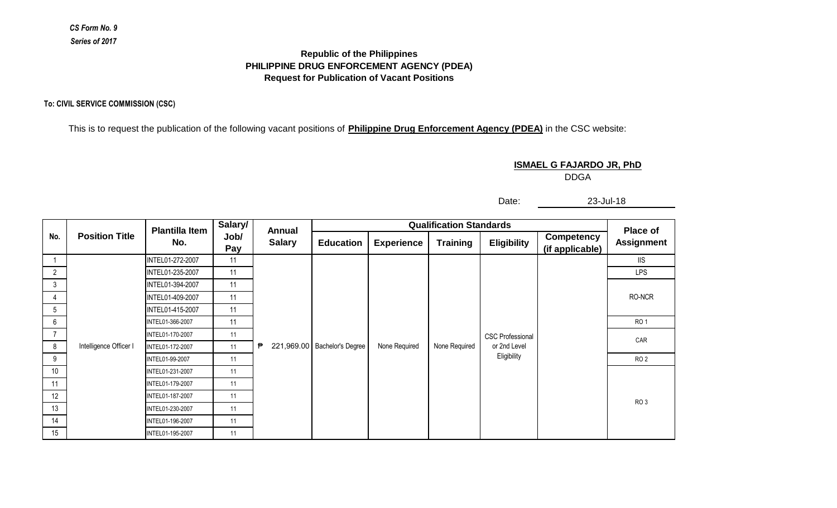# *CS Form No. 9 Series of 2017*

## **Request for Publication of Vacant Positions Republic of the Philippines PHILIPPINE DRUG ENFORCEMENT AGENCY (PDEA)**

### **To: CIVIL SERVICE COMMISSION (CSC)**

This is to request the publication of the following vacant positions of **Philippine Drug Enforcement Agency (PDEA)** in the CSC website:

## **ISMAEL G FAJARDO JR, PhD**

DDGA

Date: 23-Jul-18

|                | <b>Position Title</b>  | <b>Plantilla Item</b><br>No. | Salary/     | <b>Annual</b> |                              | Place of          |                 |                                         |                                      |                   |
|----------------|------------------------|------------------------------|-------------|---------------|------------------------------|-------------------|-----------------|-----------------------------------------|--------------------------------------|-------------------|
| No.            |                        |                              | Job/<br>Pay | <b>Salary</b> | <b>Education</b>             | <b>Experience</b> | <b>Training</b> | <b>Eligibility</b>                      | <b>Competency</b><br>(if applicable) | <b>Assignment</b> |
|                |                        | INTEL01-272-2007             | 11          |               |                              |                   |                 |                                         |                                      | <b>IIS</b>        |
| 2              |                        | INTEL01-235-2007             | 11          |               |                              |                   |                 |                                         |                                      | LPS               |
| 3              |                        | INTEL01-394-2007             | 11          |               |                              |                   |                 |                                         |                                      |                   |
| 4              |                        | INTEL01-409-2007             | 11          |               |                              |                   |                 |                                         |                                      | RO-NCR            |
| 5              |                        | INTEL01-415-2007             | 11          |               |                              |                   |                 |                                         |                                      |                   |
| 6              | Intelligence Officer I | INTEL01-366-2007             | 11          | ₱             | 221,969.00 Bachelor's Degree | None Required     | None Required   | <b>CSC Professional</b><br>or 2nd Level |                                      | RO <sub>1</sub>   |
| $\overline{7}$ |                        | INTEL01-170-2007             | 11          |               |                              |                   |                 |                                         |                                      | CAR               |
| 8              |                        | INTEL01-172-2007             | 11          |               |                              |                   |                 |                                         |                                      |                   |
| 9              |                        | INTEL01-99-2007              | 11          |               |                              |                   |                 | Eligibility                             |                                      | <b>RO2</b>        |
| 10             |                        | INTEL01-231-2007             | 11          |               |                              |                   |                 |                                         |                                      |                   |
| 11             |                        | INTEL01-179-2007             | 11          |               |                              |                   |                 |                                         |                                      |                   |
| 12             |                        | INTEL01-187-2007             | 11          |               |                              |                   |                 |                                         |                                      | RO <sub>3</sub>   |
| 13             |                        | INTEL01-230-2007             | 11          |               |                              |                   |                 |                                         |                                      |                   |
| 14             |                        | INTEL01-196-2007             | 11          |               |                              |                   |                 |                                         |                                      |                   |
| 15             |                        | INTEL01-195-2007             | 11          |               |                              |                   |                 |                                         |                                      |                   |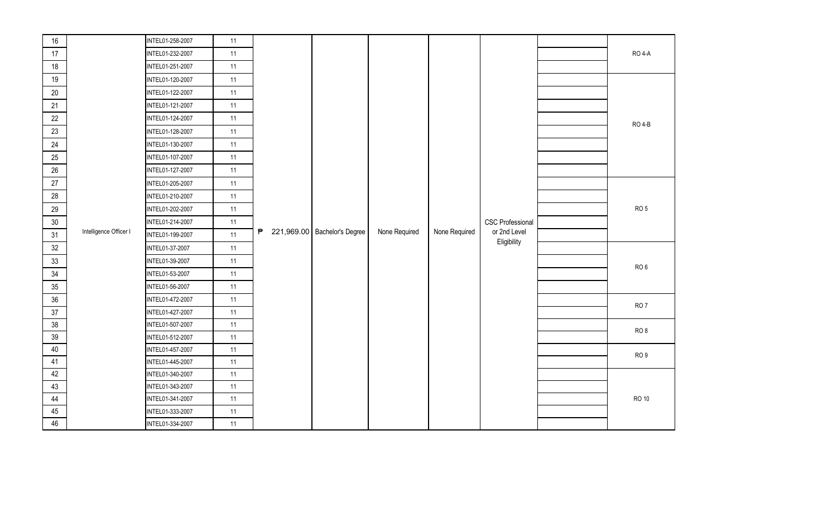| $16\,$ |                        | INTEL01-258-2007 | 11 |   |                              |               |               |                         |                 |
|--------|------------------------|------------------|----|---|------------------------------|---------------|---------------|-------------------------|-----------------|
| 17     |                        | INTEL01-232-2007 | 11 |   |                              |               |               |                         | <b>RO 4-A</b>   |
| 18     |                        | INTEL01-251-2007 | 11 |   |                              |               |               |                         |                 |
| 19     |                        | INTEL01-120-2007 | 11 |   |                              |               |               |                         |                 |
| $20\,$ |                        | INTEL01-122-2007 | 11 |   |                              |               |               |                         |                 |
| 21     |                        | INTEL01-121-2007 | 11 |   |                              |               |               |                         |                 |
| 22     |                        | INTEL01-124-2007 | 11 |   |                              |               |               |                         | <b>RO 4-B</b>   |
| 23     |                        | INTEL01-128-2007 | 11 |   |                              |               |               |                         |                 |
| 24     |                        | INTEL01-130-2007 | 11 |   |                              |               |               |                         |                 |
| 25     |                        | INTEL01-107-2007 | 11 |   |                              |               |               |                         |                 |
| $26\,$ |                        | INTEL01-127-2007 | 11 |   |                              |               |               |                         |                 |
| 27     |                        | INTEL01-205-2007 | 11 |   |                              |               |               |                         |                 |
| 28     |                        | INTEL01-210-2007 | 11 |   |                              |               |               |                         |                 |
| 29     |                        | INTEL01-202-2007 | 11 |   |                              |               |               |                         | RO <sub>5</sub> |
| $30\,$ |                        | INTEL01-214-2007 | 11 |   |                              |               |               | <b>CSC Professional</b> |                 |
| 31     | Intelligence Officer I | INTEL01-199-2007 | 11 | ₱ | 221,969.00 Bachelor's Degree | None Required | None Required | or 2nd Level            |                 |
| 32     |                        | INTEL01-37-2007  | 11 |   |                              |               |               | Eligibility             |                 |
| 33     |                        | INTEL01-39-2007  | 11 |   |                              |               |               |                         | RO <sub>6</sub> |
| 34     |                        | INTEL01-53-2007  | 11 |   |                              |               |               |                         |                 |
| 35     |                        | INTEL01-56-2007  | 11 |   |                              |               |               |                         |                 |
| 36     |                        | INTEL01-472-2007 | 11 |   |                              |               |               |                         | RO <sub>7</sub> |
| 37     |                        | INTEL01-427-2007 | 11 |   |                              |               |               |                         |                 |
| $38\,$ |                        | INTEL01-507-2007 | 11 |   |                              |               |               |                         | RO <sub>8</sub> |
| 39     |                        | INTEL01-512-2007 | 11 |   |                              |               |               |                         |                 |
| 40     |                        | INTEL01-457-2007 | 11 |   |                              |               |               |                         | RO <sub>9</sub> |
| 41     |                        | INTEL01-445-2007 | 11 |   |                              |               |               |                         |                 |
| 42     |                        | INTEL01-340-2007 | 11 |   |                              |               |               |                         |                 |
| 43     |                        | INTEL01-343-2007 | 11 |   |                              |               |               |                         |                 |
| 44     |                        | INTEL01-341-2007 | 11 |   |                              |               |               |                         | <b>RO 10</b>    |
| 45     |                        | INTEL01-333-2007 | 11 |   |                              |               |               |                         |                 |
| 46     |                        | INTEL01-334-2007 | 11 |   |                              |               |               |                         |                 |